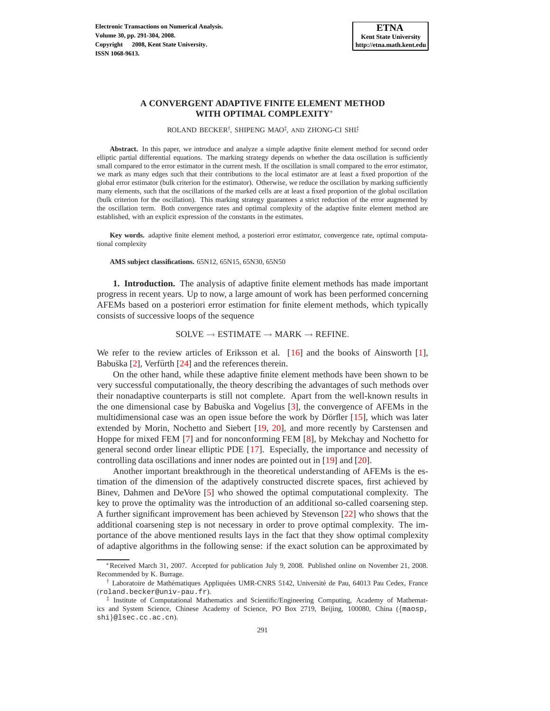# **A CONVERGENT ADAPTIVE FINITE ELEMENT METHOD WITH OPTIMAL COMPLEXITY**<sup>∗</sup>

ROLAND BECKER<sup>†</sup>, SHIPENG MAO<sup>‡</sup>, AND ZHONG-CI SHI<sup>‡</sup>

**Abstract.** In this paper, we introduce and analyze a simple adaptive finite element method for second order elliptic partial differential equations. The marking strategy depends on whether the data oscillation is sufficiently small compared to the error estimator in the current mesh. If the oscillation is small compared to the error estimator, we mark as many edges such that their contributions to the local estimator are at least a fixed proportion of the global error estimator (bulk criterion for the estimator). Otherwise, we reduce the oscillation by marking sufficiently many elements, such that the oscillations of the marked cells are at least a fixed proportion of the global oscillation (bulk criterion for the oscillation). This marking strategy guarantees a strict reduction of the error augmented by the oscillation term. Both convergence rates and optimal complexity of the adaptive finite element method are established, with an explicit expression of the constants in the estimates.

**Key words.** adaptive finite element method, a posteriori error estimator, convergence rate, optimal computational complexity

**AMS subject classifications.** 65N12, 65N15, 65N30, 65N50

**1. Introduction.** The analysis of adaptive finite element methods has made important progress in recent years. Up to now, a large amount of work has been performed concerning AFEMs based on a posteriori error estimation for finite element methods, which typically consists of successive loops of the sequence

### $SOLVE \rightarrow ESTIMATE \rightarrow MARK \rightarrow REFINE.$

We refer to the review articles of Eriksson et al.  $[16]$  and the books of Ainsworth [\[1\]](#page-12-0), Babuška  $[2]$ , Verfürth  $[24]$  and the references therein.

On the other hand, while these adaptive finite element methods have been shown to be very successful computationally, the theory describing the advantages of such methods over their nonadaptive counterparts is still not complete. Apart from the well-known results in the one dimensional case by Babu˘ska and Vogelius [\[3\]](#page-12-2), the convergence of AFEMs in the multidimensional case was an open issue before the work by Dörfler  $[15]$ , which was later extended by Morin, Nochetto and Siebert [\[19,](#page-13-3) [20\]](#page-13-4), and more recently by Carstensen and Hoppe for mixed FEM [\[7\]](#page-12-3) and for nonconforming FEM [\[8\]](#page-12-4), by Mekchay and Nochetto for general second order linear elliptic PDE [\[17\]](#page-13-5). Especially, the importance and necessity of controlling data oscillations and inner nodes are pointed out in [\[19\]](#page-13-3) and [\[20\]](#page-13-4).

Another important breakthrough in the theoretical understanding of AFEMs is the estimation of the dimension of the adaptively constructed discrete spaces, first achieved by Binev, Dahmen and DeVore [\[5\]](#page-12-5) who showed the optimal computational complexity. The key to prove the optimality was the introduction of an additional so-called coarsening step. A further significant improvement has been achieved by Stevenson [\[22\]](#page-13-6) who shows that the additional coarsening step is not necessary in order to prove optimal complexity. The importance of the above mentioned results lays in the fact that they show optimal complexity of adaptive algorithms in the following sense: if the exact solution can be approximated by

<sup>∗</sup>Received March 31, 2007. Accepted for publication July 9, 2008. Published online on November 21, 2008. Recommended by K. Burrage.

<sup>&</sup>lt;sup>†</sup> Laboratoire de Mathématiques Appliquées UMR-CNRS 5142, Université de Pau, 64013 Pau Cedex, France (roland.becker@univ-pau.fr).

<sup>‡</sup> Institute of Computational Mathematics and Scientific/Engineering Computing, Academy of Mathematics and System Science, Chinese Academy of Science, PO Box 2719, Beijing, 100080, China ({maosp, shi}@lsec.cc.ac.cn).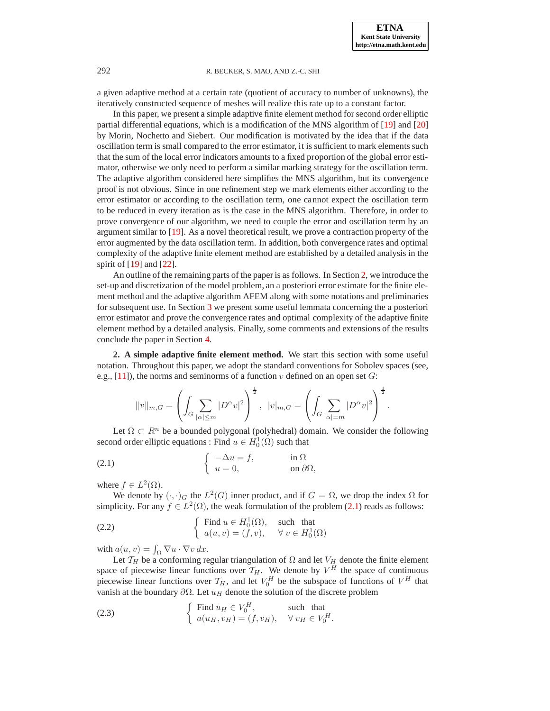a given adaptive method at a certain rate (quotient of accuracy to number of unknowns), the iteratively constructed sequence of meshes will realize this rate up to a constant factor.

In this paper, we present a simple adaptive finite element method for second order elliptic partial differential equations, which is a modification of the MNS algorithm of [\[19\]](#page-13-3) and [\[20\]](#page-13-4) by Morin, Nochetto and Siebert. Our modification is motivated by the idea that if the data oscillation term is small compared to the error estimator, it is sufficient to mark elements such that the sum of the local error indicators amounts to a fixed proportion of the global error estimator, otherwise we only need to perform a similar marking strategy for the oscillation term. The adaptive algorithm considered here simplifies the MNS algorithm, but its convergence proof is not obvious. Since in one refinement step we mark elements either according to the error estimator or according to the oscillation term, one cannot expect the oscillation term to be reduced in every iteration as is the case in the MNS algorithm. Therefore, in order to prove convergence of our algorithm, we need to couple the error and oscillation term by an argument similar to  $[19]$ . As a novel theoretical result, we prove a contraction property of the error augmented by the data oscillation term. In addition, both convergence rates and optimal complexity of the adaptive finite element method are established by a detailed analysis in the spirit of  $[19]$  and  $[22]$ .

An outline of the remaining parts of the paper is as follows. In Section [2,](#page-1-0) we introduce the set-up and discretization of the model problem, an a posteriori error estimate for the finite element method and the adaptive algorithm AFEM along with some notations and preliminaries for subsequent use. In Section [3](#page-3-0) we present some useful lemmata concerning the a posteriori error estimator and prove the convergence rates and optimal complexity of the adaptive finite element method by a detailed analysis. Finally, some comments and extensions of the results conclude the paper in Section [4.](#page-12-6)

<span id="page-1-0"></span>**2. A simple adaptive finite element method.** We start this section with some useful notation. Throughout this paper, we adopt the standard conventions for Sobolev spaces (see, e.g., [\[11\]](#page-12-7)), the norms and seminorms of a function v defined on an open set  $G$ :

<span id="page-1-2"></span><span id="page-1-1"></span>
$$
||v||_{m,G} = \left(\int_G \sum_{|\alpha| \leq m} |D^{\alpha}v|^2\right)^{\frac{1}{2}}, \ \ |v|_{m,G} = \left(\int_G \sum_{|\alpha| = m} |D^{\alpha}v|^2\right)^{\frac{1}{2}}.
$$

Let  $\Omega \subset \mathbb{R}^n$  be a bounded polygonal (polyhedral) domain. We consider the following second order elliptic equations : Find  $u \in H_0^1(\Omega)$  such that

(2.1) 
$$
\begin{cases} -\Delta u = f, & \text{in } \Omega \\ u = 0, & \text{on } \partial \Omega, \end{cases}
$$

where  $f \in L^2(\Omega)$ .

We denote by  $(\cdot, \cdot)_G$  the  $L^2(G)$  inner product, and if  $G = \Omega$ , we drop the index  $\Omega$  for simplicity. For any  $f \in L^2(\Omega)$ , the weak formulation of the problem [\(2.1\)](#page-1-1) reads as follows:

(2.2) 
$$
\begin{cases} \text{Find } u \in H_0^1(\Omega), \text{ such that} \\ a(u, v) = (f, v), \forall v \in H_0^1(\Omega) \end{cases}
$$

with  $a(u, v) = \int_{\Omega} \nabla u \cdot \nabla v \, dx$ .

Let  $T_H$  be a conforming regular triangulation of  $\Omega$  and let  $V_H$  denote the finite element space of piecewise linear functions over  $T_H$ . We denote by  $V^H$  the space of continuous piecewise linear functions over  $\mathcal{T}_H$ , and let  $V_0^H$  be the subspace of functions of  $V^H$  that vanish at the boundary  $\partial\Omega$ . Let  $u_H$  denote the solution of the discrete problem

<span id="page-1-3"></span>(2.3) 
$$
\begin{cases} \text{Find } u_H \in V_0^H, & \text{such that} \\ a(u_H, v_H) = (f, v_H), & \forall v_H \in V_0^H. \end{cases}
$$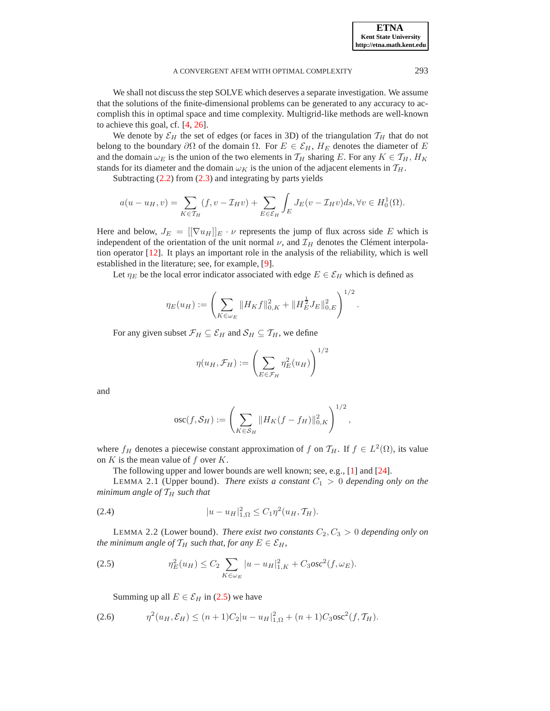A CONVERGENT AFEM WITH OPTIMAL COMPLEXITY 293

We shall not discuss the step SOLVE which deserves a separate investigation. We assume that the solutions of the finite-dimensional problems can be generated to any accuracy to accomplish this in optimal space and time complexity. Multigrid-like methods are well-known to achieve this goal, cf. [\[4,](#page-12-8) [26\]](#page-13-7).

We denote by  $\mathcal{E}_H$  the set of edges (or faces in 3D) of the triangulation  $\mathcal{T}_H$  that do not belong to the boundary  $\partial\Omega$  of the domain  $\Omega$ . For  $E \in \mathcal{E}_H$ ,  $H_E$  denotes the diameter of E and the domain  $\omega_E$  is the union of the two elements in  $\mathcal{T}_H$  sharing E. For any  $K \in \mathcal{T}_H$ ,  $H_K$ stands for its diameter and the domain  $\omega_K$  is the union of the adjacent elements in  $\mathcal{T}_H$ .

Subtracting [\(2.2\)](#page-1-2) from [\(2.3\)](#page-1-3) and integrating by parts yields

$$
a(u - u_H, v) = \sum_{K \in \mathcal{T}_H} (f, v - \mathcal{I}_H v) + \sum_{E \in \mathcal{E}_H} \int_E J_E(v - \mathcal{I}_H v) ds, \forall v \in H_0^1(\Omega).
$$

Here and below,  $J_E = [[\nabla u_H]]_E \cdot \nu$  represents the jump of flux across side E which is independent of the orientation of the unit normal  $\nu$ , and  $\mathcal{I}_H$  denotes the Clément interpolation operator [\[12\]](#page-12-9). It plays an important role in the analysis of the reliability, which is well established in the literature; see, for example, [\[9\]](#page-12-10).

Let  $\eta_E$  be the local error indicator associated with edge  $E \in \mathcal{E}_H$  which is defined as

$$
\eta_E(u_H) := \left(\sum_{K \in \omega_E} \|H_K f\|_{0,K}^2 + \|H_E^{\frac{1}{2}} J_E\|_{0,E}^2\right)^{1/2}.
$$

For any given subset  $\mathcal{F}_H \subseteq \mathcal{E}_H$  and  $\mathcal{S}_H \subseteq \mathcal{T}_H$ , we define

$$
\eta(u_H, \mathcal{F}_H) := \left(\sum_{E \in \mathcal{F}_H} \eta_E^2(u_H)\right)^{1/2}
$$

and

$$
osc(f, S_H) := \left(\sum_{K \in S_H} ||H_K(f - f_H)||_{0,K}^2\right)^{1/2},
$$

where  $f_H$  denotes a piecewise constant approximation of f on  $\mathcal{T}_H$ . If  $f \in L^2(\Omega)$ , its value on  $K$  is the mean value of  $f$  over  $K$ .

The following upper and lower bounds are well known; see, e.g., [\[1\]](#page-12-0) and [\[24\]](#page-13-1).

<span id="page-2-1"></span>LEMMA 2.1 (Upper bound). *There exists a constant*  $C_1 > 0$  *depending only on the minimum angle of*  $T_H$  *such that* 

(2.4) 
$$
|u - u_H|^2_{1,\Omega} \leq C_1 \eta^2 (u_H, \mathcal{T}_H).
$$

<span id="page-2-2"></span>LEMMA 2.2 (Lower bound). *There exist two constants*  $C_2, C_3 > 0$  *depending only on the minimum angle of*  $\mathcal{T}_H$  *such that, for any*  $E \in \mathcal{E}_H$ *,* 

(2.5) 
$$
\eta_E^2(u_H) \leq C_2 \sum_{K \in \omega_E} |u - u_H|^2_{1,K} + C_3 \rho s c^2(f, \omega_E).
$$

<span id="page-2-3"></span><span id="page-2-0"></span>Summing up all  $E \in \mathcal{E}_H$  in [\(2.5\)](#page-2-0) we have

$$
(2.6) \t\t \eta^2(u_H, \mathcal{E}_H) \le (n+1)C_2|u - u_H|^2_{1,\Omega} + (n+1)C_3 \csc^2(f, \mathcal{T}_H).
$$

**ETNA Kent State University http://etna.math.kent.edu**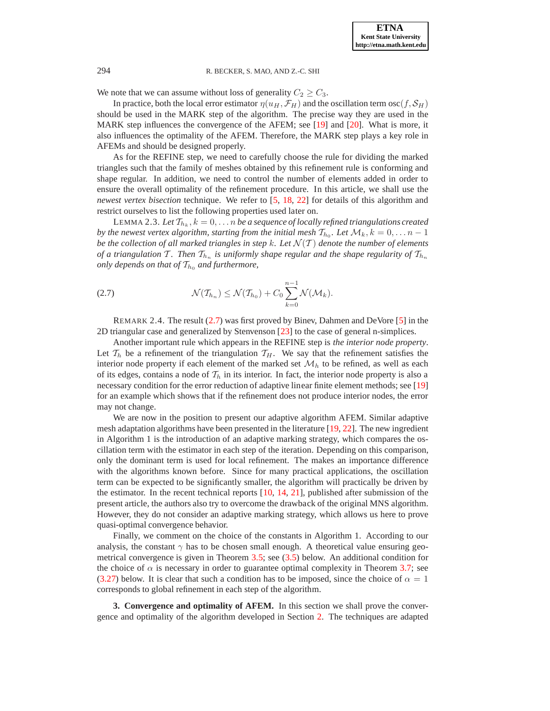We note that we can assume without loss of generality  $C_2 \geq C_3$ .

In practice, both the local error estimator  $\eta(u_H, \mathcal{F}_H)$  and the oscillation term  $\cos(f, \mathcal{S}_H)$ should be used in the MARK step of the algorithm. The precise way they are used in the MARK step influences the convergence of the AFEM; see [\[19\]](#page-13-3) and [\[20\]](#page-13-4). What is more, it also influences the optimality of the AFEM. Therefore, the MARK step plays a key role in AFEMs and should be designed properly.

As for the REFINE step, we need to carefully choose the rule for dividing the marked triangles such that the family of meshes obtained by this refinement rule is conforming and shape regular. In addition, we need to control the number of elements added in order to ensure the overall optimality of the refinement procedure. In this article, we shall use the *newest vertex bisection* technique. We refer to [\[5,](#page-12-5) [18,](#page-13-8) [22\]](#page-13-6) for details of this algorithm and restrict ourselves to list the following properties used later on.

LEMMA 2.3. Let  $\mathcal{T}_{h_k}, k=0,\ldots n$  be a sequence of locally refined triangulations created *by the newest vertex algorithm, starting from the initial mesh*  $\mathcal{T}_{h_0}$ *. Let*  $\mathcal{M}_k$ *, k* = 0,  $\dots$  n – 1 *be the collection of all marked triangles in step k. Let*  $\mathcal{N}(T)$  *denote the number of elements of a triangulation* T. Then  $\mathcal{T}_{h_n}$  is uniformly shape regular and the shape regularity of  $\mathcal{T}_{h_n}$ *only depends on that of*  $T_{h_0}$  *and furthermore,* 

<span id="page-3-1"></span>
$$
\mathcal{N}(\mathcal{T}_{h_n}) \leq \mathcal{N}(\mathcal{T}_{h_0}) + C_0 \sum_{k=0}^{n-1} \mathcal{N}(\mathcal{M}_k).
$$

REMARK 2.4. The result [\(2.7\)](#page-3-1) was first proved by Binev, Dahmen and DeVore [\[5\]](#page-12-5) in the 2D triangular case and generalized by Stenvenson [\[23\]](#page-13-9) to the case of general n-simplices.

Another important rule which appears in the REFINE step is *the interior node property*. Let  $\mathcal{T}_h$  be a refinement of the triangulation  $\mathcal{T}_H$ . We say that the refinement satisfies the interior node property if each element of the marked set  $\mathcal{M}_h$  to be refined, as well as each of its edges, contains a node of  $\mathcal{T}_h$  in its interior. In fact, the interior node property is also a necessary condition for the error reduction of adaptive linear finite element methods; see [\[19\]](#page-13-3) for an example which shows that if the refinement does not produce interior nodes, the error may not change.

We are now in the position to present our adaptive algorithm AFEM. Similar adaptive mesh adaptation algorithms have been presented in the literature  $[19, 22]$  $[19, 22]$ . The new ingredient in Algorithm 1 is the introduction of an adaptive marking strategy, which compares the oscillation term with the estimator in each step of the iteration. Depending on this comparison, only the dominant term is used for local refinement. The makes an importance difference with the algorithms known before. Since for many practical applications, the oscillation term can be expected to be significantly smaller, the algorithm will practically be driven by the estimator. In the recent technical reports  $[10, 14, 21]$  $[10, 14, 21]$  $[10, 14, 21]$  $[10, 14, 21]$ , published after submission of the present article, the authors also try to overcome the drawback of the original MNS algorithm. However, they do not consider an adaptive marking strategy, which allows us here to prove quasi-optimal convergence behavior.

Finally, we comment on the choice of the constants in Algorithm 1. According to our analysis, the constant  $\gamma$  has to be chosen small enough. A theoretical value ensuring geometrical convergence is given in Theorem [3.5;](#page-5-0) see [\(3.5\)](#page-5-1) below. An additional condition for the choice of  $\alpha$  is necessary in order to guarantee optimal complexity in Theorem [3.7;](#page-11-0) see [\(3.27\)](#page-11-1) below. It is clear that such a condition has to be imposed, since the choice of  $\alpha = 1$ corresponds to global refinement in each step of the algorithm.

<span id="page-3-0"></span>**3. Convergence and optimality of AFEM.** In this section we shall prove the convergence and optimality of the algorithm developed in Section [2.](#page-1-0) The techniques are adapted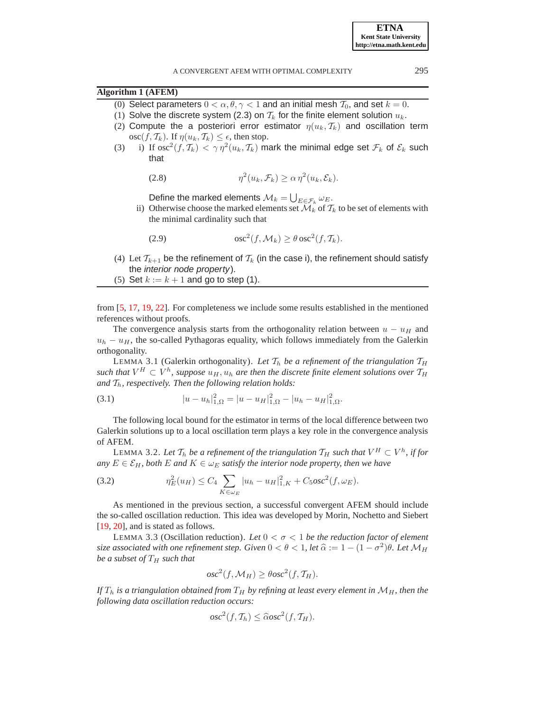- <span id="page-4-3"></span>(0) Select parameters  $0 < \alpha, \theta, \gamma < 1$  and an initial mesh  $\mathcal{T}_0$ , and set  $k = 0$ .
- (1) Solve the discrete system (2.3) on  $T_k$  for the finite element solution  $u_k$ .
- (2) Compute the a posteriori error estimator  $\eta(u_k, \mathcal{T}_k)$  and oscillation term  $\operatorname{osc}(f, \mathcal{T}_k)$ . If  $\eta(u_k, \mathcal{T}_k) \leq \epsilon$ , then stop.
- <span id="page-4-4"></span>(3) i) If  $\mathrm{osc}^2(f,\mathcal{T}_k)<\gamma\,\eta^2(u_k,\mathcal{T}_k)$  mark the minimal edge set  $\mathcal{F}_k$  of  $\mathcal{E}_k$  such that

$$
(2.8) \t\t \eta^2(u_k, \mathcal{F}_k) \ge \alpha \eta^2(u_k, \mathcal{E}_k).
$$

<span id="page-4-6"></span>Define the marked elements  $\mathcal{M}_k = \bigcup_{E \in \mathcal{F}_k} \omega_E$ .

ii) Otherwise choose the marked elements set  $\mathcal{M}_k$  of  $\mathcal{T}_k$  to be set of elements with the minimal cardinality such that

(2.9) 
$$
\qquad \qquad \text{osc}^2(f, \mathcal{M}_k) \geq \theta \csc^2(f, \mathcal{T}_k).
$$

- (4) Let  $\mathcal{T}_{k+1}$  be the refinement of  $\mathcal{T}_k$  (in the case i), the refinement should satisfy the interior node property).
- (5) Set  $k := k + 1$  and go to step (1).

from [\[5,](#page-12-5) [17,](#page-13-5) [19,](#page-13-3) [22\]](#page-13-6). For completeness we include some results established in the mentioned references without proofs.

The convergence analysis starts from the orthogonality relation between  $u - u_H$  and  $u_h - u_H$ , the so-called Pythagoras equality, which follows immediately from the Galerkin orthogonality.

<span id="page-4-0"></span>LEMMA 3.1 (Galerkin orthogonality). Let  $T_h$  be a refinement of the triangulation  $T_H$  $\mathit{such that}\ V^H\subset V^h,$  suppose  $u_H,u_h$  are then the discrete finite element solutions over  $\mathcal{T}_H$ and  $T_h$ , respectively. Then the following relation holds:

<span id="page-4-5"></span>(3.1) 
$$
|u - u_h|_{1,\Omega}^2 = |u - u_H|_{1,\Omega}^2 - |u_h - u_H|_{1,\Omega}^2.
$$

The following local bound for the estimator in terms of the local difference between two Galerkin solutions up to a local oscillation term plays a key role in the convergence analysis of AFEM.

<span id="page-4-1"></span>LEMMA 3.2. Let  $\mathcal{T}_h$  be a refinement of the triangulation  $\mathcal{T}_H$  such that  $V^H\subset V^h$ , if for *any*  $E \in \mathcal{E}_H$ , both  $E$  *and*  $K \in \omega_E$  *satisfy the interior node property, then we have* 

(3.2) 
$$
\eta_E^2(u_H) \leq C_4 \sum_{K \in \omega_E} |u_h - u_H|^2_{1,K} + C_5 \rho s c^2(f, \omega_E).
$$

As mentioned in the previous section, a successful convergent AFEM should include the so-called oscillation reduction. This idea was developed by Morin, Nochetto and Siebert [\[19,](#page-13-3) [20\]](#page-13-4), and is stated as follows.

<span id="page-4-2"></span>LEMMA 3.3 (Oscillation reduction). Let  $0 < \sigma < 1$  be the reduction factor of element *size associated with one refinement step. Given*  $0 < \theta < 1$ , let  $\widehat{\alpha} := 1 - (1 - \sigma^2)\theta$ . Let  $\mathcal{M}_H$ *be a subset of*  $T_H$  *such that* 

$$
osc2(f, \mathcal{M}_H) \ge \theta osc2(f, \mathcal{T}_H).
$$

*If*  $T_h$  *is a triangulation obtained from*  $T_H$  *by refining at least every element in*  $M_H$ *, then the following data oscillation reduction occurs:*

$$
osc2(f, Th) \leq \widehat{c}osc2(f, TH).
$$

**ETNA Kent State University http://etna.math.kent.edu**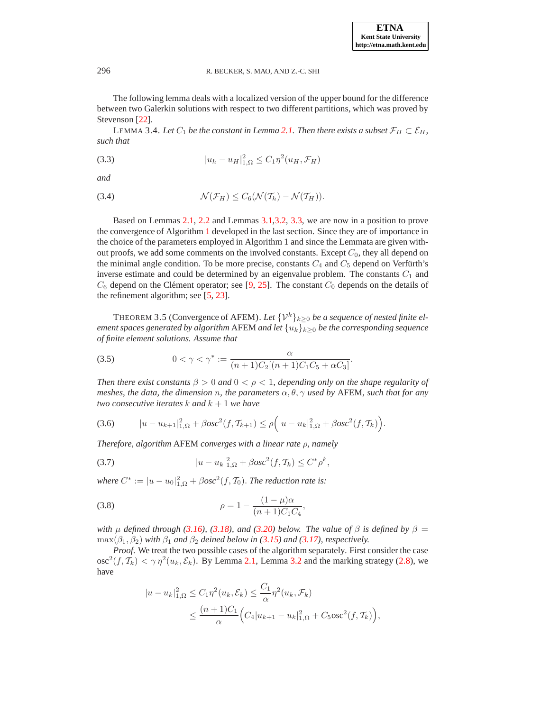The following lemma deals with a localized version of the upper bound for the difference between two Galerkin solutions with respect to two different partitions, which was proved by Stevenson [\[22\]](#page-13-6).

<span id="page-5-4"></span>LEMMA 3.4. Let  $C_1$  be the constant in Lemma [2.1.](#page-2-1) Then there exists a subset  $\mathcal{F}_H \subset \mathcal{E}_H$ , *such that*

(3.3) 
$$
|u_h - u_H|^2_{1,\Omega} \leq C_1 \eta^2 (u_H, \mathcal{F}_H)
$$

*and*

(3.4) 
$$
\mathcal{N}(\mathcal{F}_H) \leq C_6(\mathcal{N}(\mathcal{T}_h) - \mathcal{N}(\mathcal{T}_H)).
$$

Based on Lemmas [2.1,](#page-2-1) [2.2](#page-2-2) and Lemmas [3.1](#page-4-0)[,3.2,](#page-4-1) [3.3,](#page-4-2) we are now in a position to prove the convergence of Algorithm [1](#page-4-3) developed in the last section. Since they are of importance in the choice of the parameters employed in Algorithm 1 and since the Lemmata are given without proofs, we add some comments on the involved constants. Except  $C_0$ , they all depend on the minimal angle condition. To be more precise, constants  $C_4$  and  $C_5$  depend on Verfürth's inverse estimate and could be determined by an eigenvalue problem. The constants  $C_1$  and  $C_6$  depend on the Clément operator; see [\[9,](#page-12-10) [25\]](#page-13-12). The constant  $C_0$  depends on the details of the refinement algorithm; see [\[5,](#page-12-5) [23\]](#page-13-9).

<span id="page-5-0"></span>THEOREM 3.5 (Convergence of AFEM). Let  $\{V^k\}_{k>0}$  be a sequence of nested finite el*ement spaces generated by algorithm* AFEM *and let*  $\{u_k\}_{k>0}$  *be the corresponding sequence of finite element solutions. Assume that*

<span id="page-5-1"></span>(3.5) 
$$
0 < \gamma < \gamma^* := \frac{\alpha}{(n+1)C_2[(n+1)C_1C_5 + \alpha C_3]}.
$$

*Then there exist constants*  $\beta > 0$  *and*  $0 < \rho < 1$ *, depending only on the shape regularity of meshes, the data, the dimension n, the parameters*  $\alpha$ ,  $\theta$ ,  $\gamma$  *used by* AFEM, *such that for any two consecutive iterates*  $k$  *and*  $k + 1$  *we have* 

<span id="page-5-2"></span>(3.6) 
$$
|u - u_{k+1}|_{1,\Omega}^2 + \beta osc^2(f, \mathcal{T}_{k+1}) \le \rho \Big( |u - u_k|_{1,\Omega}^2 + \beta osc^2(f, \mathcal{T}_k) \Big).
$$

<span id="page-5-3"></span>*Therefore, algorithm* AFEM *converges with a linear rate* ρ*, namely*

(3.7) 
$$
|u - u_k|_{1,\Omega}^2 + \beta osc^2(f, \mathcal{T}_k) \le C^* \rho^k,
$$

*where*  $C^* := |u - u_0|_{1,\Omega}^2 + \beta \sigma s c^2(f, \mathcal{T}_0)$ . *The reduction rate is:* 

(3.8) 
$$
\rho = 1 - \frac{(1 - \mu)\alpha}{(n + 1)C_1C_4},
$$

*with*  $\mu$  *defined through* [\(3.16\)](#page-7-0)*,* [\(3.18\)](#page-7-1)*,* and [\(3.20\)](#page-8-0) below. The value of  $\beta$  is defined by  $\beta =$  $\max(\beta_1, \beta_2)$  *with*  $\beta_1$  *and*  $\beta_2$  *deined below in* [\(3.15\)](#page-7-2) *and* [\(3.17\)](#page-7-3)*, respectively.* 

*Proof*. We treat the two possible cases of the algorithm separately. First consider the case  $\cos^2(f, \mathcal{T}_k) < \gamma \eta^2(u_k, \mathcal{E}_k)$ . By Lemma [2.1,](#page-2-1) Lemma [3.2](#page-4-1) and the marking strategy [\(2.8\)](#page-4-4), we have

$$
|u - u_k|_{1,\Omega}^2 \le C_1 \eta^2(u_k, \mathcal{E}_k) \le \frac{C_1}{\alpha} \eta^2(u_k, \mathcal{F}_k)
$$
  
 
$$
\le \frac{(n+1)C_1}{\alpha} \Big( C_4 |u_{k+1} - u_k|_{1,\Omega}^2 + C_5 \text{osc}^2(f, \mathcal{T}_k) \Big),
$$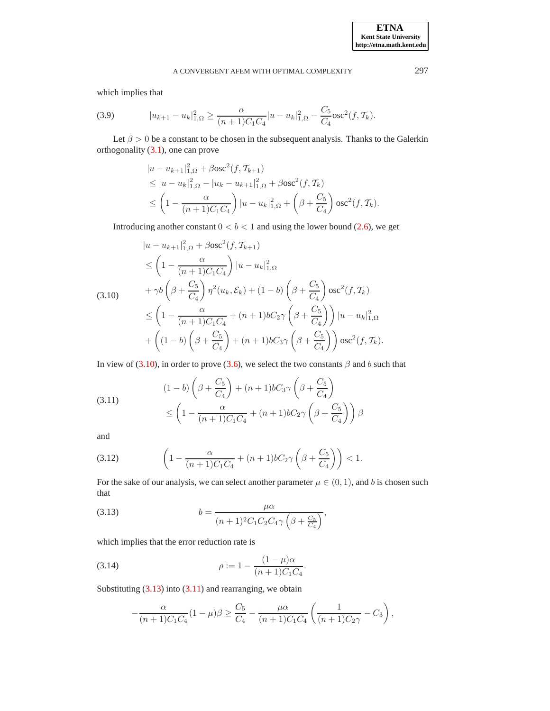# A CONVERGENT AFEM WITH OPTIMAL COMPLEXITY 297

which implies that

(3.9) 
$$
|u_{k+1} - u_k|_{1,\Omega}^2 \ge \frac{\alpha}{(n+1)C_1C_4}|u - u_k|_{1,\Omega}^2 - \frac{C_5}{C_4} \csc^2(f, \mathcal{T}_k).
$$

Let  $\beta > 0$  be a constant to be chosen in the subsequent analysis. Thanks to the Galerkin orthogonality [\(3.1\)](#page-4-5), one can prove

$$
|u - u_{k+1}|_{1,\Omega}^2 + \beta \csc^2(f, \mathcal{T}_{k+1})
$$
  
\n
$$
\leq |u - u_k|_{1,\Omega}^2 - |u_k - u_{k+1}|_{1,\Omega}^2 + \beta \csc^2(f, \mathcal{T}_k)
$$
  
\n
$$
\leq \left(1 - \frac{\alpha}{(n+1)C_1C_4}\right) |u - u_k|_{1,\Omega}^2 + \left(\beta + \frac{C_5}{C_4}\right) \csc^2(f, \mathcal{T}_k).
$$

Introducing another constant  $0 < b < 1$  and using the lower bound [\(2.6\)](#page-2-3), we get

$$
|u - u_{k+1}|_{1,\Omega}^2 + \beta \text{osc}^2(f, \mathcal{T}_{k+1})
$$
  
\n
$$
\leq \left(1 - \frac{\alpha}{(n+1)C_1C_4}\right)|u - u_k|_{1,\Omega}^2
$$
  
\n
$$
+ \gamma b \left(\beta + \frac{C_5}{C_4}\right) \eta^2(u_k, \mathcal{E}_k) + (1 - b) \left(\beta + \frac{C_5}{C_4}\right) \text{osc}^2(f, \mathcal{T}_k)
$$
  
\n
$$
\leq \left(1 - \frac{\alpha}{(n+1)C_1C_4} + (n+1)bC_2\gamma\left(\beta + \frac{C_5}{C_4}\right)\right)|u - u_k|_{1,\Omega}^2
$$
  
\n
$$
+ \left((1 - b) \left(\beta + \frac{C_5}{C_4}\right) + (n+1)bC_3\gamma\left(\beta + \frac{C_5}{C_4}\right)\right) \text{osc}^2(f, \mathcal{T}_k).
$$

In view of [\(3.10\)](#page-6-0), in order to prove [\(3.6\)](#page-5-2), we select the two constants  $\beta$  and b such that

<span id="page-6-2"></span>(3.11) 
$$
(1-b)\left(\beta + \frac{C_5}{C_4}\right) + (n+1)bC_3\gamma\left(\beta + \frac{C_5}{C_4}\right)
$$

$$
\leq \left(1 - \frac{\alpha}{(n+1)C_1C_4} + (n+1)bC_2\gamma\left(\beta + \frac{C_5}{C_4}\right)\right)\beta
$$

and

(3.12) 
$$
\left(1 - \frac{\alpha}{(n+1)C_1C_4} + (n+1)bC_2\gamma\left(\beta + \frac{C_5}{C_4}\right)\right) < 1.
$$

<span id="page-6-1"></span>For the sake of our analysis, we can select another parameter  $\mu \in (0, 1)$ , and b is chosen such that

(3.13) 
$$
b = \frac{\mu \alpha}{(n+1)^2 C_1 C_2 C_4 \gamma \left(\beta + \frac{C_5}{C_4}\right)},
$$

which implies that the error reduction rate is

(3.14) 
$$
\rho := 1 - \frac{(1 - \mu)\alpha}{(n + 1)C_1C_4}.
$$

Substituting  $(3.13)$  into  $(3.11)$  and rearranging, we obtain

$$
-\frac{\alpha}{(n+1)C_1C_4}(1-\mu)\beta \ge \frac{C_5}{C_4} - \frac{\mu\alpha}{(n+1)C_1C_4} \left(\frac{1}{(n+1)C_2\gamma} - C_3\right),
$$

<span id="page-6-0"></span>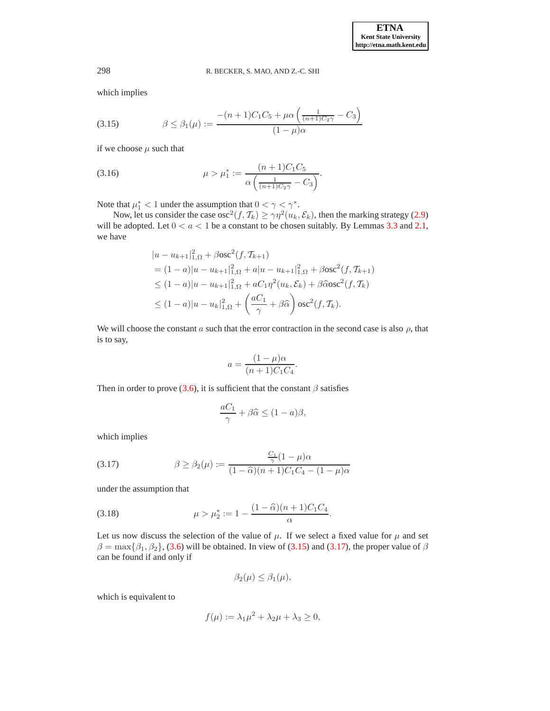<span id="page-7-2"></span>which implies

(3.15) 
$$
\beta \leq \beta_1(\mu) := \frac{-(n+1)C_1C_5 + \mu \alpha \left(\frac{1}{(n+1)C_2\gamma} - C_3\right)}{(1-\mu)\alpha}
$$

<span id="page-7-0"></span>if we choose  $\mu$  such that

(3.16) 
$$
\mu > \mu_1^* := \frac{(n+1)C_1C_5}{\alpha \left(\frac{1}{(n+1)C_2\gamma} - C_3\right)}.
$$

Note that  $\mu_1^* < 1$  under the assumption that  $0 < \gamma < \gamma^*$ .

Now, let us consider the case osc $^{2}(f, \mathcal{T}_{k}) \geq \gamma\eta^{2}(u_{k}, \mathcal{E}_{k})$ , then the marking strategy [\(2.9\)](#page-4-6) will be adopted. Let  $0 < a < 1$  be a constant to be chosen suitably. By Lemmas [3.3](#page-4-2) and [2.1,](#page-2-1) we have

$$
|u - u_{k+1}|_{1,\Omega}^2 + \beta \operatorname{osc}^2(f, \mathcal{T}_{k+1})
$$
  
=  $(1 - a)|u - u_{k+1}|_{1,\Omega}^2 + a|u - u_{k+1}|_{1,\Omega}^2 + \beta \operatorname{osc}^2(f, \mathcal{T}_{k+1})$   
 $\leq (1 - a)|u - u_{k+1}|_{1,\Omega}^2 + aC_1\eta^2(u_k, \mathcal{E}_k) + \beta \widehat{\alpha} \operatorname{osc}^2(f, \mathcal{T}_k)$   
 $\leq (1 - a)|u - u_k|_{1,\Omega}^2 + \left(\frac{aC_1}{\gamma} + \beta \widehat{\alpha}\right) \operatorname{osc}^2(f, \mathcal{T}_k).$ 

We will choose the constant a such that the error contraction in the second case is also  $\rho$ , that is to say,

$$
a = \frac{(1 - \mu)\alpha}{(n + 1)C_1C_4}.
$$

Then in order to prove [\(3.6\)](#page-5-2), it is sufficient that the constant  $\beta$  satisfies

$$
\frac{aC_1}{\gamma} + \beta \widehat{\alpha} \le (1 - a)\beta,
$$

<span id="page-7-3"></span>which implies

(3.17) 
$$
\beta \ge \beta_2(\mu) := \frac{\frac{C_1}{\gamma}(1-\mu)\alpha}{(1-\widehat{\alpha})(n+1)C_1C_4 - (1-\mu)\alpha}
$$

<span id="page-7-1"></span>under the assumption that

(3.18) 
$$
\mu > \mu_2^* := 1 - \frac{(1 - \widehat{\alpha})(n + 1)C_1C_4}{\alpha}.
$$

Let us now discuss the selection of the value of  $\mu$ . If we select a fixed value for  $\mu$  and set  $\beta = \max{\beta_1, \beta_2}$ , [\(3.6\)](#page-5-2) will be obtained. In view of [\(3.15\)](#page-7-2) and [\(3.17\)](#page-7-3), the proper value of  $\beta$ can be found if and only if

$$
\beta_2(\mu) \leq \beta_1(\mu),
$$

which is equivalent to

$$
f(\mu) := \lambda_1 \mu^2 + \lambda_2 \mu + \lambda_3 \ge 0,
$$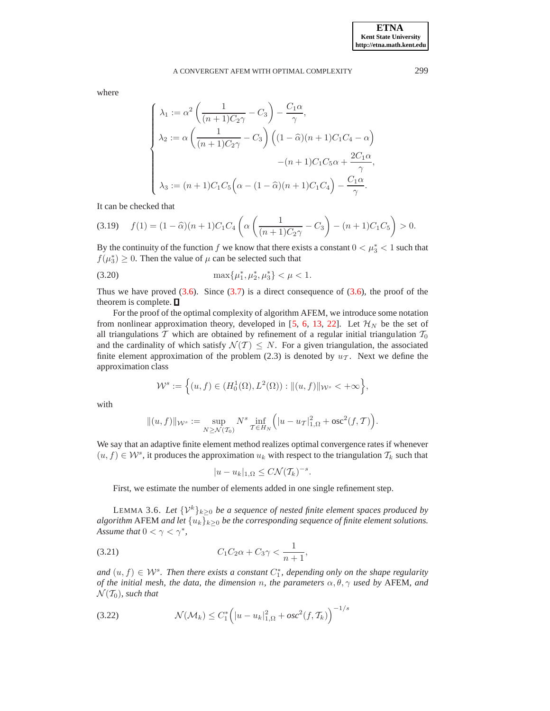where

$$
\begin{cases}\n\lambda_1 := \alpha^2 \left( \frac{1}{(n+1)C_2\gamma} - C_3 \right) - \frac{C_1\alpha}{\gamma}, \\
\lambda_2 := \alpha \left( \frac{1}{(n+1)C_2\gamma} - C_3 \right) \left( (1-\widehat{\alpha})(n+1)C_1C_4 - \alpha \right) \\
& -(n+1)C_1C_5\alpha + \frac{2C_1\alpha}{\gamma}, \\
\lambda_3 := (n+1)C_1C_5\left( \alpha - (1-\widehat{\alpha})(n+1)C_1C_4 \right) - \frac{C_1\alpha}{\gamma}.\n\end{cases}
$$

It can be checked that

$$
(3.19) \t f(1) = (1 - \widehat{\alpha})(n+1)C_1C_4\left(\alpha\left(\frac{1}{(n+1)C_2\gamma} - C_3\right) - (n+1)C_1C_5\right) > 0.
$$

<span id="page-8-0"></span>By the continuity of the function f we know that there exists a constant  $0 < \mu_3^* < 1$  such that  $f(\mu_3^*) \geq 0$ . Then the value of  $\mu$  can be selected such that

(3.20) 
$$
\max\{\mu_1^*, \mu_2^*, \mu_3^*\} < \mu < 1.
$$

Thus we have proved  $(3.6)$ . Since  $(3.7)$  is a direct consequence of  $(3.6)$ , the proof of the theorem is complete.  $\square$ 

For the proof of the optimal complexity of algorithm AFEM, we introduce some notation from nonlinear approximation theory, developed in [\[5,](#page-12-5) [6,](#page-12-12) [13,](#page-13-13) [22\]](#page-13-6). Let  $\mathcal{H}_N$  be the set of all triangulations  $T$  which are obtained by refinement of a regular initial triangulation  $T_0$ and the cardinality of which satisfy  $\mathcal{N}(\mathcal{T}) \leq N$ . For a given triangulation, the associated finite element approximation of the problem (2.3) is denoted by  $u<sub>T</sub>$ . Next we define the approximation class

$$
\mathcal{W}^s := \Big\{ (u, f) \in (H_0^1(\Omega), L^2(\Omega)) : ||(u, f)||_{\mathcal{W}^s} < +\infty \Big\},\
$$

with

$$
\|(u,f)\|_{\mathcal{W}^{s}} := \sup_{N \geq \mathcal{N}(\mathcal{T}_{0})} N^{s} \inf_{\mathcal{T} \in H_{N}} \Big(|u - u_{\mathcal{T}}|^{2}_{1,\Omega} + \text{osc}^{2}(f,\mathcal{T})\Big).
$$

We say that an adaptive finite element method realizes optimal convergence rates if whenever  $(u, f) \in \mathcal{W}^s$ , it produces the approximation  $u_k$  with respect to the triangulation  $\mathcal{T}_k$  such that

$$
|u - u_k|_{1, \Omega} \leq C \mathcal{N}(\mathcal{T}_k)^{-s}.
$$

First, we estimate the number of elements added in one single refinement step.

<span id="page-8-3"></span>LEMMA 3.6. Let  $\{V^k\}_{k\geq 0}$  be a sequence of nested finite element spaces produced by *algorithm* AFEM *and let*  $\{u_k\}_{k\geq 0}$  *be the corresponding sequence of finite element solutions. Assume that*  $0 < \gamma < \gamma^*$ ,

<span id="page-8-1"></span>(3.21) 
$$
C_1 C_2 \alpha + C_3 \gamma < \frac{1}{n+1},
$$

 $and (u, f) \in W<sup>s</sup>$ . Then there exists a constant  $C_1^*$ , depending only on the shape regularity *of the initial mesh, the data, the dimension n, the parameters*  $\alpha$ ,  $\theta$ ,  $\gamma$  *used by* AFEM, *and*  $\mathcal{N}(\mathcal{T}_0)$ *, such that* 

<span id="page-8-2"></span>(3.22) 
$$
\mathcal{N}(\mathcal{M}_k) \leq C_1^* \left( |u - u_k|_{1,\Omega}^2 + osc^2(f, \mathcal{T}_k) \right)^{-1/s}
$$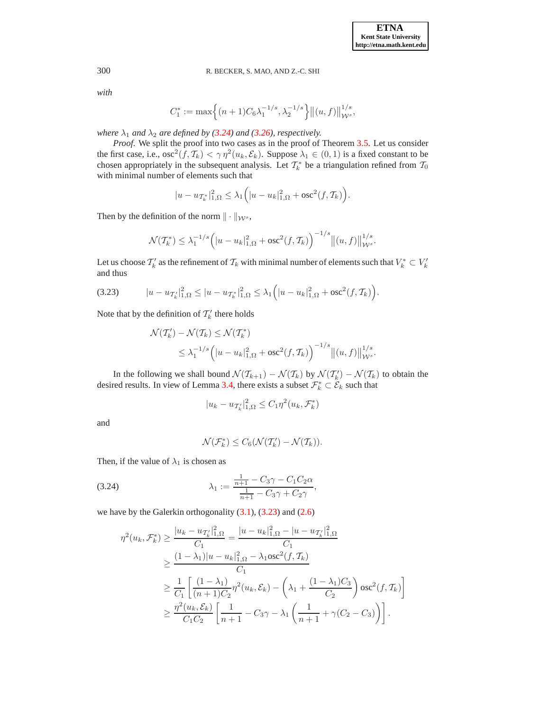1

### 300 R. BECKER, S. MAO, AND Z.-C. SHI

*with*

$$
C_1^* := \max \Big\{ (n+1) C_6 \lambda_1^{-1/s}, \lambda_2^{-1/s} \Big\} \big\| (u, f) \big\|_{\mathcal{W}^s}^{1/s},
$$

*where*  $\lambda_1$  *and*  $\lambda_2$  *are defined by* [\(3.24\)](#page-9-0) *and* [\(3.26\)](#page-10-0)*, respectively.* 

*Proof*. We split the proof into two cases as in the proof of Theorem [3.5.](#page-5-0) Let us consider the first case, i.e.,  $\csc^2(f, \mathcal{T}_k) < \gamma \eta^2(u_k, \mathcal{E}_k)$ . Suppose  $\lambda_1 \in (0, 1)$  is a fixed constant to be chosen appropriately in the subsequent analysis. Let  $\mathcal{T}_k^*$  be a triangulation refined from  $\mathcal{T}_0$ with minimal number of elements such that

$$
|u - u_{\mathcal{T}_{k}}|_{1,\Omega}^{2} \leq \lambda_{1} (|u - u_{k}|_{1,\Omega}^{2} + \mathrm{osc}^{2}(f, \mathcal{T}_{k}))
$$

Then by the definition of the norm  $\|\cdot\|_{\mathcal{W}^{s}}$ ,

$$
\mathcal{N}(\mathcal{T}_k^*) \leq \lambda_1^{-1/s} \left( |u - u_k|_{1,\Omega}^2 + \text{osc}^2(f, \mathcal{T}_k) \right)^{-1/s} \left\| (u, f) \right\|_{\mathcal{W}^s}^{1/s}.
$$

<span id="page-9-1"></span>Let us choose  $\mathcal{T}'_k$  as the refinement of  $\mathcal{T}_k$  with minimal number of elements such that  $V_k^*\subset V'_k$ and thus

$$
(3.23) \t |u - u_{\mathcal{T}'_k}|_{1,\Omega}^2 \le |u - u_{\mathcal{T}^*_k}|_{1,\Omega}^2 \le \lambda_1 \Big( |u - u_k|_{1,\Omega}^2 + \mathrm{osc}^2(f, \mathcal{T}_k) \Big).
$$

Note that by the definition of  $\mathcal{T}'_k$  there holds

$$
\mathcal{N}(\mathcal{T}'_k) - \mathcal{N}(\mathcal{T}_k) \le \mathcal{N}(\mathcal{T}_k^*)
$$
  
 
$$
\le \lambda_1^{-1/s} \left( |u - u_k|_{1,\Omega}^2 + \text{osc}^2(f, \mathcal{T}_k) \right)^{-1/s} \left\| (u, f) \right\|_{\mathcal{W}^s}^{1/s}.
$$

In the following we shall bound  $\mathcal{N}(\mathcal{T}_{k+1}) - \mathcal{N}(\mathcal{T}_k)$  by  $\mathcal{N}(\mathcal{T}'_k) - \mathcal{N}(\mathcal{T}_k)$  to obtain the desired results. In view of Lemma [3.4,](#page-5-4) there exists a subset  $\mathcal{F}_k^* \subset \mathcal{E}_k$  such that

$$
|u_k - u_{\mathcal{T}_k'}|_{1,\Omega}^2 \le C_1 \eta^2(u_k, \mathcal{F}_k^*)
$$

and

<span id="page-9-0"></span>
$$
\mathcal{N}(\mathcal{F}_k^*) \leq C_6(\mathcal{N}(\mathcal{T}_k') - \mathcal{N}(\mathcal{T}_k)).
$$

Then, if the value of  $\lambda_1$  is chosen as

(3.24) 
$$
\lambda_1 := \frac{\frac{1}{n+1} - C_3 \gamma - C_1 C_2 \alpha}{\frac{1}{n+1} - C_3 \gamma + C_2 \gamma},
$$

we have by the Galerkin orthogonality [\(3.1\)](#page-4-5), [\(3.23\)](#page-9-1) and [\(2.6\)](#page-2-3)

$$
\eta^{2}(u_{k}, \mathcal{F}_{k}^{*}) \geq \frac{|u_{k} - u_{\mathcal{T}_{k}}|_{1,\Omega}^{2}}{C_{1}} = \frac{|u - u_{k}|_{1,\Omega}^{2} - |u - u_{\mathcal{T}_{k}}|_{1,\Omega}^{2}}{C_{1}}
$$
\n
$$
\geq \frac{(1 - \lambda_{1})|u - u_{k}|_{1,\Omega}^{2} - \lambda_{1}osc^{2}(f, \mathcal{T}_{k})}{C_{1}}
$$
\n
$$
\geq \frac{1}{C_{1}} \left[ \frac{(1 - \lambda_{1})}{(n + 1)C_{2}} \eta^{2}(u_{k}, \mathcal{E}_{k}) - \left( \lambda_{1} + \frac{(1 - \lambda_{1})C_{3}}{C_{2}} \right) osc^{2}(f, \mathcal{T}_{k}) \right]
$$
\n
$$
\geq \frac{\eta^{2}(u_{k}, \mathcal{E}_{k})}{C_{1}C_{2}} \left[ \frac{1}{n + 1} - C_{3}\gamma - \lambda_{1} \left( \frac{1}{n + 1} + \gamma(C_{2} - C_{3}) \right) \right].
$$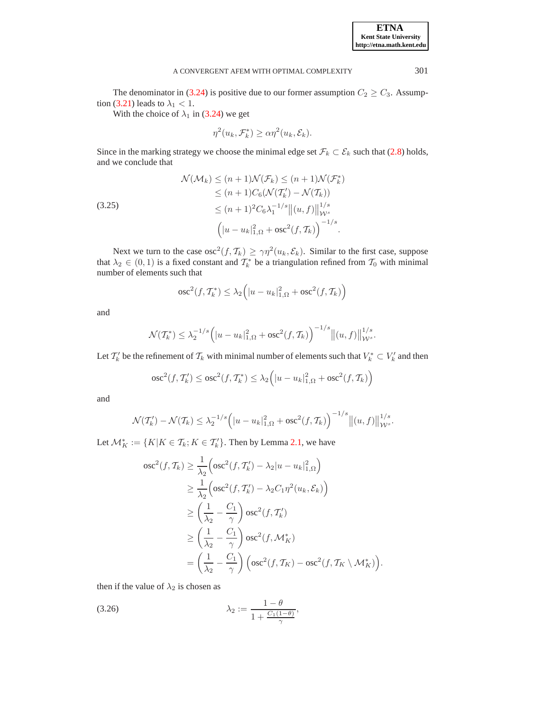The denominator in [\(3.24\)](#page-9-0) is positive due to our former assumption  $C_2 \ge C_3$ . Assump-tion [\(3.21\)](#page-8-1) leads to  $\lambda_1$  < 1.

With the choice of  $\lambda_1$  in [\(3.24\)](#page-9-0) we get

$$
\eta^{2}(u_{k}, \mathcal{F}_{k}^{*}) \geq \alpha \eta^{2}(u_{k}, \mathcal{E}_{k}).
$$

<span id="page-10-1"></span>Since in the marking strategy we choose the minimal edge set  $\mathcal{F}_k \subset \mathcal{E}_k$  such that [\(2.8\)](#page-4-4) holds, and we conclude that

$$
\mathcal{N}(\mathcal{M}_k) \le (n+1)\mathcal{N}(\mathcal{F}_k) \le (n+1)\mathcal{N}(\mathcal{F}_k^*)
$$
  
\n
$$
\le (n+1)C_6(\mathcal{N}(\mathcal{T}_k') - \mathcal{N}(\mathcal{T}_k))
$$
  
\n
$$
\le (n+1)^2 C_6 \lambda_1^{-1/s} \|(u, f)\|_{\mathcal{W}^s}^{1/s}
$$
  
\n
$$
\left(|u - u_k|_{1,\Omega}^2 + \text{osc}^2(f, \mathcal{T}_k)\right)^{-1/s}.
$$

Next we turn to the case  $osc^2(f, \mathcal{T}_k) \ge \gamma \eta^2(u_k, \mathcal{E}_k)$ . Similar to the first case, suppose that  $\lambda_2 \in (0,1)$  is a fixed constant and  $\mathcal{T}_k^*$  be a triangulation refined from  $\mathcal{T}_0$  with minimal number of elements such that

$$
\operatorname{osc}^2(f,\mathcal{T}_k^*) \leq \lambda_2\Big(|u - u_k|^2_{1,\Omega} + \operatorname{osc}^2(f,\mathcal{T}_k)\Big)
$$

and

$$
\mathcal{N}(\mathcal{T}_{k}^{*}) \leq \lambda_{2}^{-1/s} \left( |u - u_{k}|^{2}_{1,\Omega} + \text{osc}^{2}(f, \mathcal{T}_{k}) \right)^{-1/s} \left\| (u, f) \right\|_{\mathcal{W}^{s}}^{1/s}.
$$

Let  $\mathcal{T}'_k$  be the refinement of  $\mathcal{T}_k$  with minimal number of elements such that  $V^*_k \subset V'_k$  and then

$$
\operatorname{osc}^2(f, \mathcal{T}'_k) \le \operatorname{osc}^2(f, \mathcal{T}^*_k) \le \lambda_2 \Big(|u - u_k|^2_{1,\Omega} + \operatorname{osc}^2(f, \mathcal{T}_k)\Big)
$$

and

$$
\mathcal{N}(\mathcal{T}'_k) - \mathcal{N}(\mathcal{T}_k) \leq \lambda_2^{-1/s} \Big( |u - u_k|_{1,\Omega}^2 + \text{osc}^2(f, \mathcal{T}_k) \Big)^{-1/s} \big\| (u, f) \big\|_{\mathcal{W}^s}^{1/s}.
$$

Let  $\mathcal{M}_K^* := \{ K | K \in \mathcal{T}_k; K \in \mathcal{T}'_k \}$ . Then by Lemma [2.1,](#page-2-1) we have

$$
\begin{split} \n\text{osc}^2(f, \mathcal{T}_k) &\geq \frac{1}{\lambda_2} \Big( \text{osc}^2(f, \mathcal{T}'_k) - \lambda_2 |u - u_k|_{1, \Omega}^2 \Big) \\ \n&\geq \frac{1}{\lambda_2} \Big( \text{osc}^2(f, \mathcal{T}'_k) - \lambda_2 C_1 \eta^2(u_k, \mathcal{E}_k) \Big) \\ \n&\geq \left( \frac{1}{\lambda_2} - \frac{C_1}{\gamma} \right) \text{osc}^2(f, \mathcal{T}'_k) \\ \n&\geq \left( \frac{1}{\lambda_2} - \frac{C_1}{\gamma} \right) \text{osc}^2(f, \mathcal{M}^*_K) \\ \n&= \left( \frac{1}{\lambda_2} - \frac{C_1}{\gamma} \right) \Big( \text{osc}^2(f, \mathcal{T}_K) - \text{osc}^2(f, \mathcal{T}_K \setminus \mathcal{M}^*_K) \Big). \n\end{split}
$$

<span id="page-10-0"></span>then if the value of  $\lambda_2$  is chosen as

$$
\lambda_2 := \frac{1-\theta}{1+\frac{C_1(1-\theta)}{\gamma}},
$$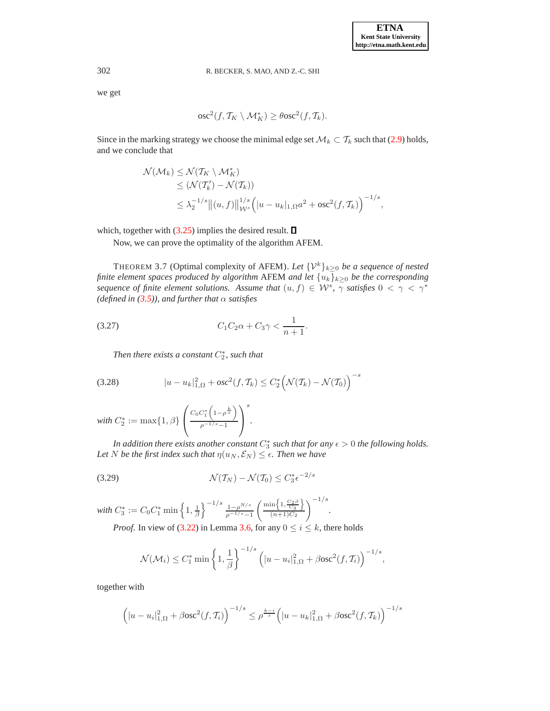we get

$$
\csc^2(f, \mathcal{T}_K \setminus \mathcal{M}_K^*) \ge \theta \csc^2(f, \mathcal{T}_k).
$$

Since in the marking strategy we choose the minimal edge set  $\mathcal{M}_k \subset \mathcal{T}_k$  such that [\(2.9\)](#page-4-6) holds, and we conclude that

$$
\mathcal{N}(\mathcal{M}_k) \leq \mathcal{N}(T_K \setminus \mathcal{M}_K^*)
$$
  
\n
$$
\leq (\mathcal{N}(T'_k) - \mathcal{N}(T_k))
$$
  
\n
$$
\leq \lambda_2^{-1/s} \|(u, f)\|_{\mathcal{W}^s}^{1/s} \left(|u - u_k|_{1,\Omega} a^2 + \text{osc}^2(f, T_k)\right)^{-1/s},
$$

which, together with  $(3.25)$  implies the desired result.  $\square$ 

Now, we can prove the optimality of the algorithm AFEM.

<span id="page-11-0"></span>THEOREM 3.7 (Optimal complexity of AFEM). Let  $\{\mathcal{V}^k\}_{k\geq 0}$  *be a sequence of nested finite element spaces produced by algorithm* AFEM *and let*  ${u_k}_{k≥0}$  *be the corresponding sequence of finite element solutions. Assume that*  $(u, f) \in \mathcal{W}^s$ ,  $\overline{\gamma}$  *satisfies*  $0 < \gamma < \gamma^*$ *(defined in [\(3.5\)](#page-5-1)), and further that*  $\alpha$  *satisfies* 

(3.27) 
$$
C_1 C_2 \alpha + C_3 \gamma < \frac{1}{n+1}.
$$

<span id="page-11-1"></span>*Then there exists a constant*  $C_2^*$ *, such that* 

(3.28) 
$$
|u - u_k|_{1,\Omega}^2 + osc^2(f, \mathcal{T}_k) \leq C_2^* \Big(\mathcal{N}(\mathcal{T}_k) - \mathcal{N}(\mathcal{T}_0)\Big)^{-s}
$$

with 
$$
C_2^* := \max\{1, \beta\} \left( \frac{C_0 C_1^* \left(1 - \rho^{\frac{k}{s}}\right)}{\rho^{-1/s} - 1} \right)^s
$$

*In addition there exists another constant*  $C_3^*$  *such that for any*  $\epsilon > 0$  *the following holds. Let N be the first index such that*  $\eta(u_N, \mathcal{E}_N) \leq \epsilon$ *. Then we have* 

<span id="page-11-3"></span><span id="page-11-2"></span>*.*

$$
\mathcal{N}(\mathcal{T}_N) - \mathcal{N}(\mathcal{T}_0) \le C_3^* \epsilon^{-2/s}
$$

with  $C_3^* := C_0 C_1^* \min\left\{1, \frac{1}{\beta}\right\}^{-1/s} \frac{1-\rho^{N/s}}{\rho^{-1/s}-1}$  $\left\{\min\left\{1,\frac{C_2\beta}{C_3}\right\}\right\}$  $(n+1)C_2$  $\sqrt{\frac{-1/s}{}}$ *. Proof.* In view of [\(3.22\)](#page-8-2) in Lemma [3.6,](#page-8-3) for any  $0 \le i \le k$ , there holds

$$
\mathcal{N}(\mathcal{M}_i) \le C_1^* \min\left\{1, \frac{1}{\beta}\right\}^{-1/s} \left(|u - u_i|_{1,\Omega}^2 + \beta \csc^2(f, \mathcal{T}_i)\right)^{-1/s},
$$

together with

$$
\left(|u - u_i|_{1,\Omega}^2 + \beta \csc^2(f, \mathcal{T}_i)\right)^{-1/s} \leq \rho^{\frac{k-i}{s}} \left(|u - u_k|_{1,\Omega}^2 + \beta \csc^2(f, \mathcal{T}_k)\right)^{-1/s}
$$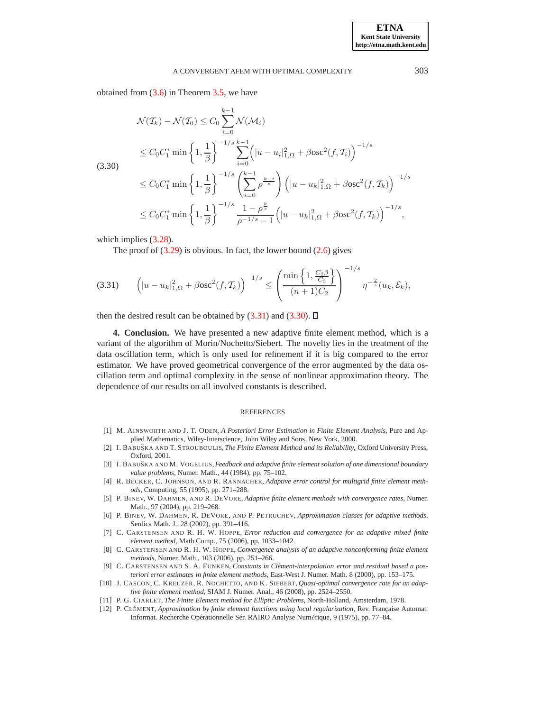<span id="page-12-14"></span>obtained from [\(3.6\)](#page-5-2) in Theorem [3.5,](#page-5-0) we have

$$
\mathcal{N}(\mathcal{T}_k) - \mathcal{N}(\mathcal{T}_0) \le C_0 \sum_{i=0}^{k-1} \mathcal{N}(\mathcal{M}_i)
$$
\n
$$
\le C_0 C_1^* \min \left\{ 1, \frac{1}{\beta} \right\}^{-1/s} \sum_{i=0}^{k-1} \left( |u - u_i|_{1,\Omega}^2 + \beta \text{osc}^2(f, \mathcal{T}_i) \right)^{-1/s}
$$
\n
$$
\le C_0 C_1^* \min \left\{ 1, \frac{1}{\beta} \right\}^{-1/s} \left( \sum_{i=0}^{k-1} \rho^{\frac{k-i}{s}} \right) \left( |u - u_k|_{1,\Omega}^2 + \beta \text{osc}^2(f, \mathcal{T}_k) \right)^{-1/s}
$$
\n
$$
\le C_0 C_1^* \min \left\{ 1, \frac{1}{\beta} \right\}^{-1/s} \frac{1 - \rho^{\frac{k}{s}}}{\rho^{-1/s} - 1} \left( |u - u_k|_{1,\Omega}^2 + \beta \text{osc}^2(f, \mathcal{T}_k) \right)^{-1/s},
$$

which implies  $(3.28)$ .

The proof of  $(3.29)$  is obvious. In fact, the lower bound  $(2.6)$  gives

$$
(3.31) \qquad \left( |u - u_k|_{1,\Omega}^2 + \beta \mathrm{osc}^2(f, \mathcal{T}_k) \right)^{-1/s} \leq \left( \frac{\min\left\{ 1, \frac{C_2 \beta}{C_3} \right\}}{(n+1)C_2} \right)^{-1/s} \eta^{-\frac{2}{s}}(u_k, \mathcal{E}_k),
$$

<span id="page-12-6"></span>then the desired result can be obtained by  $(3.31)$  and  $(3.30)$ .  $\Box$ 

**4. Conclusion.** We have presented a new adaptive finite element method, which is a variant of the algorithm of Morin/Nochetto/Siebert. The novelty lies in the treatment of the data oscillation term, which is only used for refinement if it is big compared to the error estimator. We have proved geometrical convergence of the error augmented by the data oscillation term and optimal complexity in the sense of nonlinear approximation theory. The dependence of our results on all involved constants is described.

#### <span id="page-12-13"></span>**REFERENCES**

- <span id="page-12-0"></span>[1] M. AINSWORTH AND J. T. ODEN, *A Posteriori Error Estimation in Finite Element Analysis*, Pure and Applied Mathematics, Wiley-Interscience, John Wiley and Sons, New York, 2000.
- <span id="page-12-1"></span>[2] I. BABU˘SKA AND T. STROUBOULIS, *The Finite Element Method and its Reliability*, Oxford University Press, Oxford, 2001.
- <span id="page-12-2"></span>[3] I. BABU˘SKA AND M. VOGELIUS,*Feedback and adaptive finite element solution of one dimensional boundary value problems*, Numer. Math., 44 (1984), pp. 75–102.
- <span id="page-12-8"></span>[4] R. BECKER, C. JOHNSON, AND R. RANNACHER, *Adaptive error control for multigrid finite element methods*, Computing, 55 (1995), pp. 271–288.
- <span id="page-12-5"></span>[5] P. BINEV, W. DAHMEN, AND R. DEVORE, *Adaptive finite element methods with convergence rates*, Numer. Math., 97 (2004), pp. 219–268.
- <span id="page-12-12"></span>[6] P. BINEV, W. DAHMEN, R. DEVORE, AND P. PETRUCHEV, *Approximation classes for adaptive methods*, Serdica Math. J., 28 (2002), pp. 391–416.
- <span id="page-12-3"></span>[7] C. CARSTENSEN AND R. H. W. HOPPE, *Error reduction and convergence for an adaptive mixed finite element method*, Math.Comp., 75 (2006), pp. 1033–1042.
- <span id="page-12-4"></span>[8] C. CARSTENSEN AND R. H. W. HOPPE, *Convergence analysis of an adaptive nonconforming finite element methods*, Numer. Math., 103 (2006), pp. 251–266.
- <span id="page-12-10"></span>[9] C. CARSTENSEN AND S. A. FUNKEN, *Constants in Clément-interpolation error and residual based a posteriori error estimates in finite element methods*, East-West J. Numer. Math. 8 (2000), pp. 153–175.
- <span id="page-12-11"></span>[10] J. CASCON, C. KREUZER, R. NOCHETTO, AND K. SIEBERT, *Quasi-optimal convergence rate for an adaptive finite element method*, SIAM J. Numer. Anal., 46 (2008), pp. 2524–2550.
- <span id="page-12-9"></span><span id="page-12-7"></span>[11] P. G. CIARLET, *The Finite Element method for Elliptic Problems*, North-Holland, Amsterdam, 1978.
- [12] P. CLÉMENT, *Approximation by finite element functions using local regularization*, Rev. Française Automat. Informat. Recherche Opérationnelle Sér. RAIRO Analyse Numérique, 9 (1975), pp. 77-84.

**ETNA Kent State University http://etna.math.kent.edu**